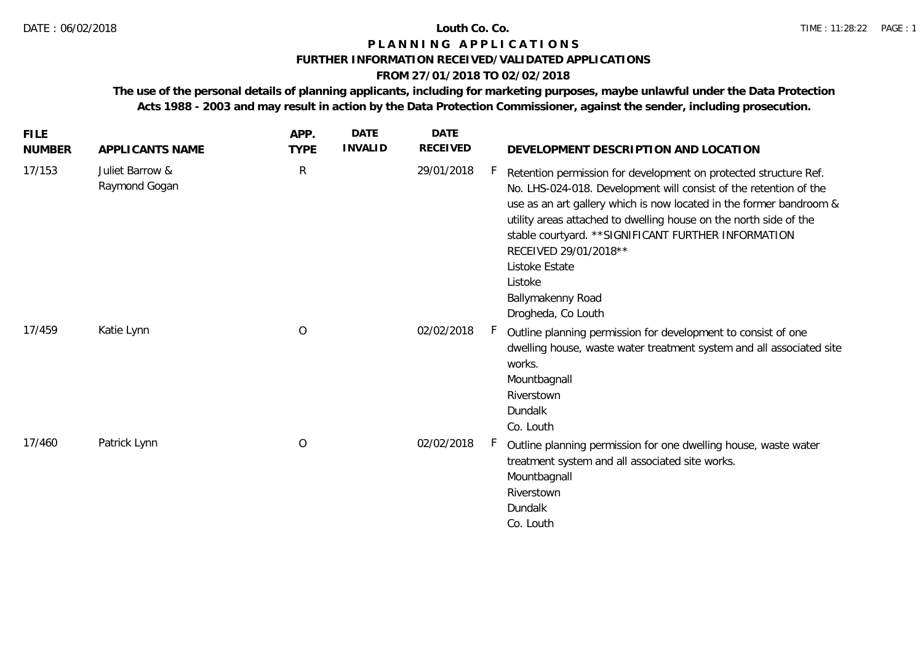#### **FURTHER INFORMATION RECEIVED/VALIDATED APPLICATIONS**

## **FROM 27/01/2018 TO 02/02/2018**

| <b>FILE</b><br><b>NUMBER</b> | APPLICANTS NAME                  | APP.<br><b>TYPE</b> | <b>DATE</b><br><b>INVALID</b> | <b>DATE</b><br><b>RECEIVED</b> | DEVELOPMENT DESCRIPTION AND LOCATION                                                                                                                                                                                                                                                                                                                                                                                                        |
|------------------------------|----------------------------------|---------------------|-------------------------------|--------------------------------|---------------------------------------------------------------------------------------------------------------------------------------------------------------------------------------------------------------------------------------------------------------------------------------------------------------------------------------------------------------------------------------------------------------------------------------------|
| 17/153                       | Juliet Barrow &<br>Raymond Gogan | $\mathsf{R}$        |                               | 29/01/2018                     | Retention permission for development on protected structure Ref.<br>No. LHS-024-018. Development will consist of the retention of the<br>use as an art gallery which is now located in the former bandroom &<br>utility areas attached to dwelling house on the north side of the<br>stable courtyard. ** SIGNIFICANT FURTHER INFORMATION<br>RECEIVED 29/01/2018 **<br>Listoke Estate<br>Listoke<br>Ballymakenny Road<br>Drogheda, Co Louth |
| 17/459                       | Katie Lynn                       | O                   |                               | 02/02/2018                     | Outline planning permission for development to consist of one<br>dwelling house, waste water treatment system and all associated site<br>works.<br>Mountbagnall<br>Riverstown<br>Dundalk<br>Co. Louth                                                                                                                                                                                                                                       |
| 17/460                       | Patrick Lynn                     | $\circ$             |                               | 02/02/2018                     | Outline planning permission for one dwelling house, waste water<br>treatment system and all associated site works.<br>Mountbagnall<br>Riverstown<br>Dundalk<br>Co. Louth                                                                                                                                                                                                                                                                    |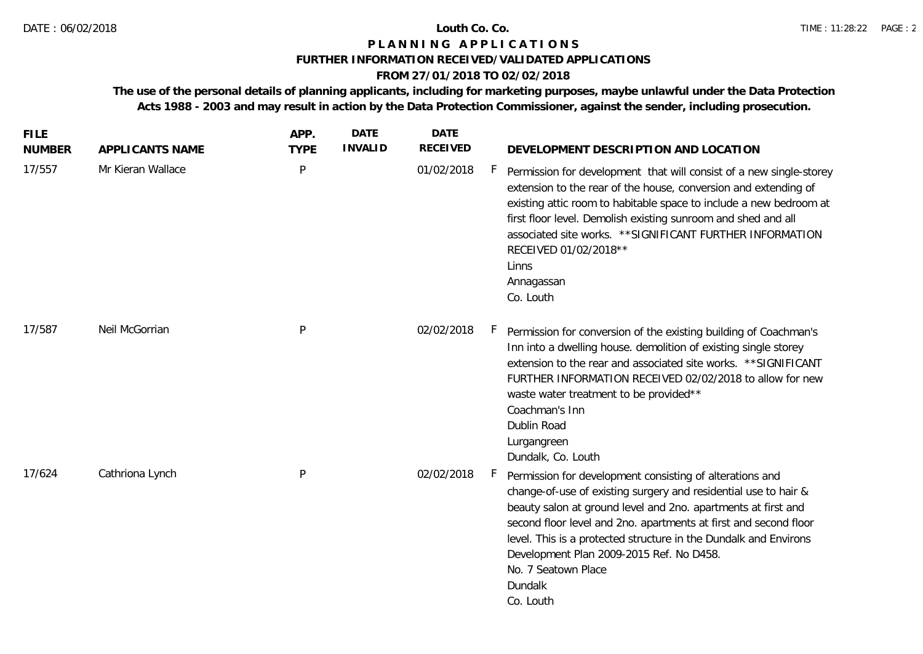### **FURTHER INFORMATION RECEIVED/VALIDATED APPLICATIONS**

## **FROM 27/01/2018 TO 02/02/2018**

| <b>FILE</b><br><b>NUMBER</b> | APPLICANTS NAME   | APP.<br><b>TYPE</b> | <b>DATE</b><br><b>INVALID</b> | <b>DATE</b><br><b>RECEIVED</b> | DEVELOPMENT DESCRIPTION AND LOCATION                                                                                                                                                                                                                                                                                                                                                                                                   |
|------------------------------|-------------------|---------------------|-------------------------------|--------------------------------|----------------------------------------------------------------------------------------------------------------------------------------------------------------------------------------------------------------------------------------------------------------------------------------------------------------------------------------------------------------------------------------------------------------------------------------|
| 17/557                       | Mr Kieran Wallace | P                   |                               | 01/02/2018                     | F.<br>Permission for development that will consist of a new single-storey<br>extension to the rear of the house, conversion and extending of<br>existing attic room to habitable space to include a new bedroom at<br>first floor level. Demolish existing sunroom and shed and all<br>associated site works. ** SIGNIFICANT FURTHER INFORMATION<br>RECEIVED 01/02/2018 **<br>Linns<br>Annagassan<br>Co. Louth                         |
| 17/587                       | Neil McGorrian    | P                   |                               | 02/02/2018                     | H.,<br>Permission for conversion of the existing building of Coachman's<br>Inn into a dwelling house. demolition of existing single storey<br>extension to the rear and associated site works. **SIGNIFICANT<br>FURTHER INFORMATION RECEIVED 02/02/2018 to allow for new<br>waste water treatment to be provided**<br>Coachman's Inn<br>Dublin Road<br>Lurgangreen<br>Dundalk, Co. Louth                                               |
| 17/624                       | Cathriona Lynch   | P                   |                               | 02/02/2018                     | h.,<br>Permission for development consisting of alterations and<br>change-of-use of existing surgery and residential use to hair &<br>beauty salon at ground level and 2no. apartments at first and<br>second floor level and 2no. apartments at first and second floor<br>level. This is a protected structure in the Dundalk and Environs<br>Development Plan 2009-2015 Ref. No D458.<br>No. 7 Seatown Place<br>Dundalk<br>Co. Louth |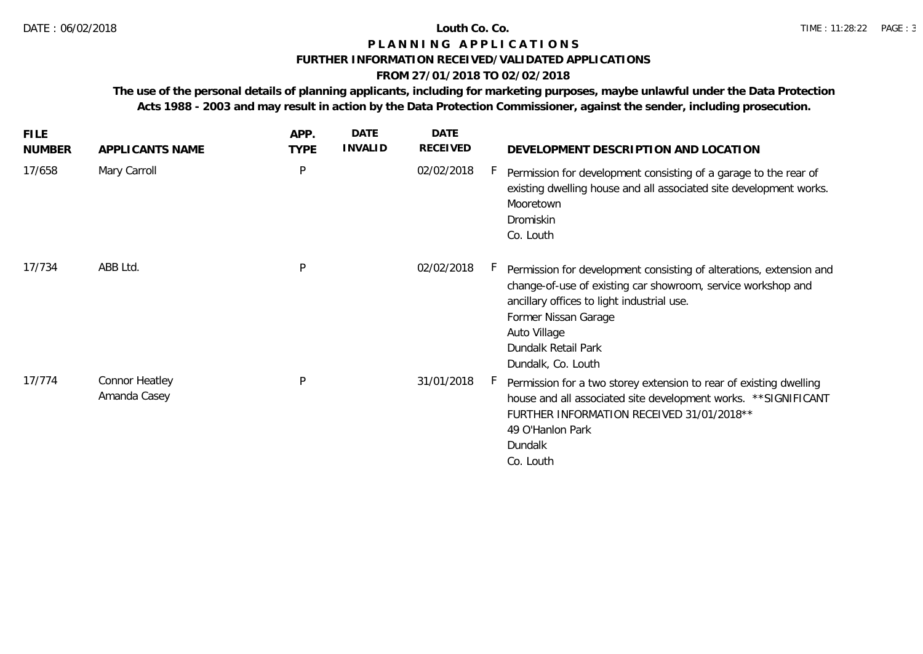### **FURTHER INFORMATION RECEIVED/VALIDATED APPLICATIONS**

## **FROM 27/01/2018 TO 02/02/2018**

| <b>FILE</b><br><b>NUMBER</b> | APPLICANTS NAME                | APP.<br><b>TYPE</b> | DATE<br><b>INVALID</b> | DATE<br>RECEIVED | DEVELOPMENT DESCRIPTION AND LOCATION                                                                                                                                                                                                                                   |
|------------------------------|--------------------------------|---------------------|------------------------|------------------|------------------------------------------------------------------------------------------------------------------------------------------------------------------------------------------------------------------------------------------------------------------------|
| 17/658                       | Mary Carroll                   | P                   |                        | 02/02/2018       | Permission for development consisting of a garage to the rear of<br>existing dwelling house and all associated site development works.<br>Mooretown<br>Dromiskin<br>Co. Louth                                                                                          |
| 17/734                       | ABB Ltd.                       | P                   |                        | 02/02/2018       | Permission for development consisting of alterations, extension and<br>change-of-use of existing car showroom, service workshop and<br>ancillary offices to light industrial use.<br>Former Nissan Garage<br>Auto Village<br>Dundalk Retail Park<br>Dundalk, Co. Louth |
| 17/774                       | Connor Heatley<br>Amanda Casey | P                   |                        | 31/01/2018       | Permission for a two storey extension to rear of existing dwelling<br>house and all associated site development works. ** SIGNIFICANT<br>FURTHER INFORMATION RECEIVED 31/01/2018 **<br>49 O'Hanlon Park<br>Dundalk<br>Co. Louth                                        |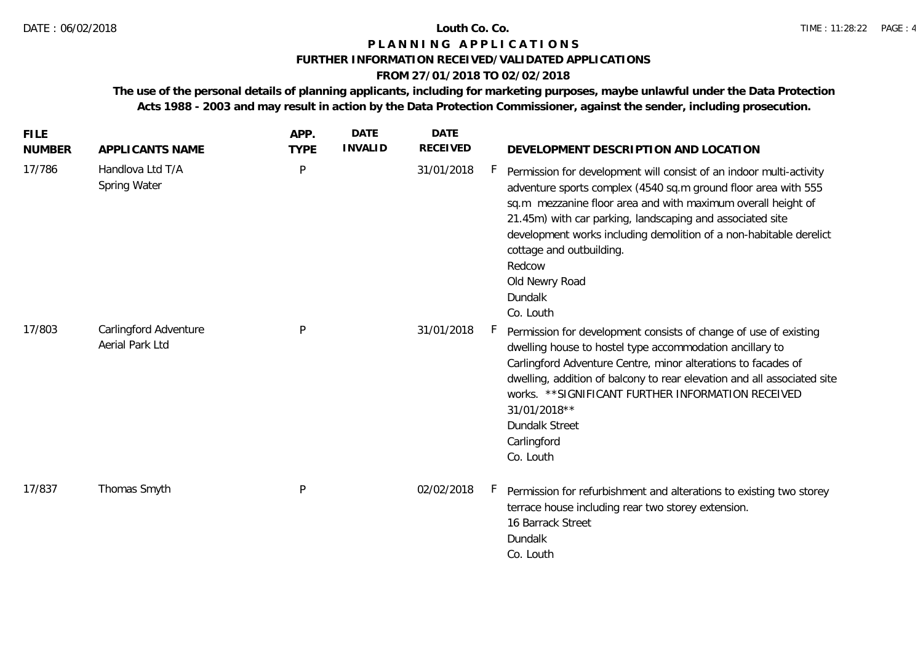### **FURTHER INFORMATION RECEIVED/VALIDATED APPLICATIONS**

## **FROM 27/01/2018 TO 02/02/2018**

| <b>FILE</b><br><b>NUMBER</b> | APPLICANTS NAME                          | APP.<br><b>TYPE</b> | <b>DATE</b><br><b>INVALID</b> | <b>DATE</b><br>RECEIVED | DEVELOPMENT DESCRIPTION AND LOCATION                                                                                                                                                                                                                                                                                                                                                                                           |
|------------------------------|------------------------------------------|---------------------|-------------------------------|-------------------------|--------------------------------------------------------------------------------------------------------------------------------------------------------------------------------------------------------------------------------------------------------------------------------------------------------------------------------------------------------------------------------------------------------------------------------|
| 17/786                       | Handlova Ltd T/A<br>Spring Water         | $\mathsf{P}$        |                               | 31/01/2018              | H,<br>Permission for development will consist of an indoor multi-activity<br>adventure sports complex (4540 sq.m ground floor area with 555<br>sq.m mezzanine floor area and with maximum overall height of<br>21.45m) with car parking, landscaping and associated site<br>development works including demolition of a non-habitable derelict<br>cottage and outbuilding.<br>Redcow<br>Old Newry Road<br>Dundalk<br>Co. Louth |
| 17/803                       | Carlingford Adventure<br>Aerial Park Ltd | P                   |                               | 31/01/2018              | h.<br>Permission for development consists of change of use of existing<br>dwelling house to hostel type accommodation ancillary to<br>Carlingford Adventure Centre, minor alterations to facades of<br>dwelling, addition of balcony to rear elevation and all associated site<br>works. ** SIGNIFICANT FURTHER INFORMATION RECEIVED<br>31/01/2018**<br><b>Dundalk Street</b><br>Carlingford<br>Co. Louth                      |
| 17/837                       | Thomas Smyth                             | P                   |                               | 02/02/2018              | Permission for refurbishment and alterations to existing two storey<br>terrace house including rear two storey extension.<br>16 Barrack Street<br>Dundalk<br>Co. Louth                                                                                                                                                                                                                                                         |